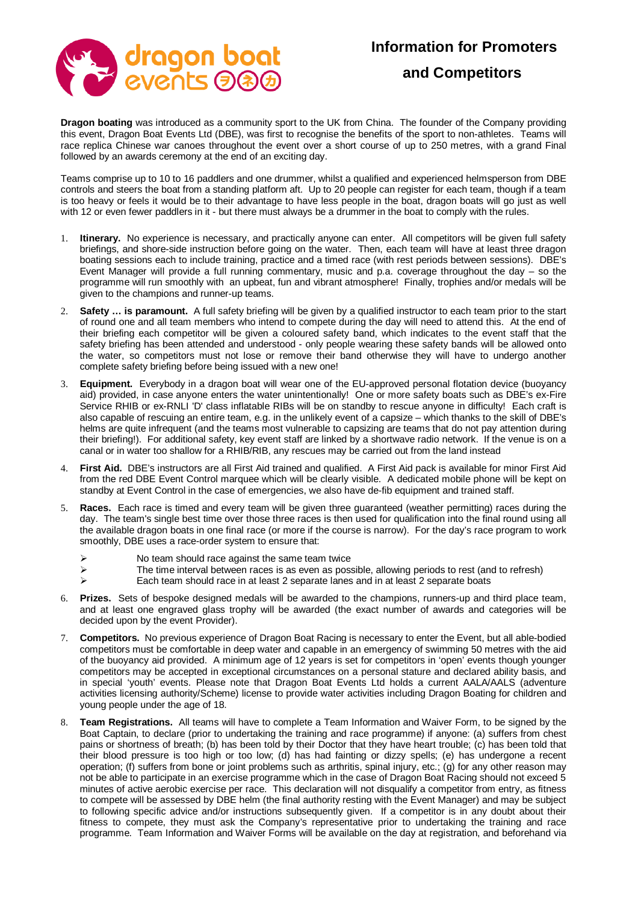## **Information for Promoters**



## **and Competitors**

**Dragon boating** was introduced as a community sport to the UK from China. The founder of the Company providing this event, Dragon Boat Events Ltd (DBE), was first to recognise the benefits of the sport to non-athletes. Teams will race replica Chinese war canoes throughout the event over a short course of up to 250 metres, with a grand Final followed by an awards ceremony at the end of an exciting day.

Teams comprise up to 10 to 16 paddlers and one drummer, whilst a qualified and experienced helmsperson from DBE controls and steers the boat from a standing platform aft. Up to 20 people can register for each team, though if a team is too heavy or feels it would be to their advantage to have less people in the boat, dragon boats will go just as well with 12 or even fewer paddlers in it - but there must always be a drummer in the boat to comply with the rules.

- 1. **Itinerary.** No experience is necessary, and practically anyone can enter. All competitors will be given full safety briefings, and shore-side instruction before going on the water. Then, each team will have at least three dragon boating sessions each to include training, practice and a timed race (with rest periods between sessions). DBE's Event Manager will provide a full running commentary, music and p.a. coverage throughout the day – so the programme will run smoothly with an upbeat, fun and vibrant atmosphere! Finally, trophies and/or medals will be given to the champions and runner-up teams.
- 2. **Safety … is paramount.** A full safety briefing will be given by a qualified instructor to each team prior to the start of round one and all team members who intend to compete during the day will need to attend this. At the end of their briefing each competitor will be given a coloured safety band, which indicates to the event staff that the safety briefing has been attended and understood - only people wearing these safety bands will be allowed onto the water, so competitors must not lose or remove their band otherwise they will have to undergo another complete safety briefing before being issued with a new one!
- 3. **Equipment.** Everybody in a dragon boat will wear one of the EU-approved personal flotation device (buoyancy aid) provided, in case anyone enters the water unintentionally! One or more safety boats such as DBE's ex-Fire Service RHIB or ex-RNLI 'D' class inflatable RIBs will be on standby to rescue anyone in difficulty! Each craft is also capable of rescuing an entire team, e.g. in the unlikely event of a capsize – which thanks to the skill of DBE's helms are quite infrequent (and the teams most vulnerable to capsizing are teams that do not pay attention during their briefing!). For additional safety, key event staff are linked by a shortwave radio network. If the venue is on a canal or in water too shallow for a RHIB/RIB, any rescues may be carried out from the land instead
- 4. **First Aid.** DBE's instructors are all First Aid trained and qualified. A First Aid pack is available for minor First Aid from the red DBE Event Control marquee which will be clearly visible. A dedicated mobile phone will be kept on standby at Event Control in the case of emergencies, we also have de-fib equipment and trained staff.
- 5. **Races.** Each race is timed and every team will be given three guaranteed (weather permitting) races during the day. The team's single best time over those three races is then used for qualification into the final round using all the available dragon boats in one final race (or more if the course is narrow). For the day's race program to work smoothly, DBE uses a race-order system to ensure that:
	-
	- $\triangleright$  No team should race against the same team twice<br>  $\triangleright$  The time interval between races is as even as pose  $\triangleright$  The time interval between races is as even as possible, allowing periods to rest (and to refresh)<br>  $\triangleright$  Each team should race in at least 2 separate lanes and in at least 2 separate boats
	- Each team should race in at least 2 separate lanes and in at least 2 separate boats
- 6. **Prizes.** Sets of bespoke designed medals will be awarded to the champions, runners-up and third place team, and at least one engraved glass trophy will be awarded (the exact number of awards and categories will be decided upon by the event Provider).
- 7. **Competitors.** No previous experience of Dragon Boat Racing is necessary to enter the Event, but all able-bodied competitors must be comfortable in deep water and capable in an emergency of swimming 50 metres with the aid of the buoyancy aid provided. A minimum age of 12 years is set for competitors in 'open' events though younger competitors may be accepted in exceptional circumstances on a personal stature and declared ability basis, and in special 'youth' events. Please note that Dragon Boat Events Ltd holds a current AALA/AALS (adventure activities licensing authority/Scheme) license to provide water activities including Dragon Boating for children and young people under the age of 18.
- 8. **Team Registrations.** All teams will have to complete a Team Information and Waiver Form, to be signed by the Boat Captain, to declare (prior to undertaking the training and race programme) if anyone: (a) suffers from chest pains or shortness of breath; (b) has been told by their Doctor that they have heart trouble; (c) has been told that their blood pressure is too high or too low; (d) has had fainting or dizzy spells; (e) has undergone a recent operation; (f) suffers from bone or joint problems such as arthritis, spinal injury, etc.; (g) for any other reason may not be able to participate in an exercise programme which in the case of Dragon Boat Racing should not exceed 5 minutes of active aerobic exercise per race. This declaration will not disqualify a competitor from entry, as fitness to compete will be assessed by DBE helm (the final authority resting with the Event Manager) and may be subject to following specific advice and/or instructions subsequently given. If a competitor is in any doubt about their fitness to compete, they must ask the Company's representative prior to undertaking the training and race programme. Team Information and Waiver Forms will be available on the day at registration, and beforehand via